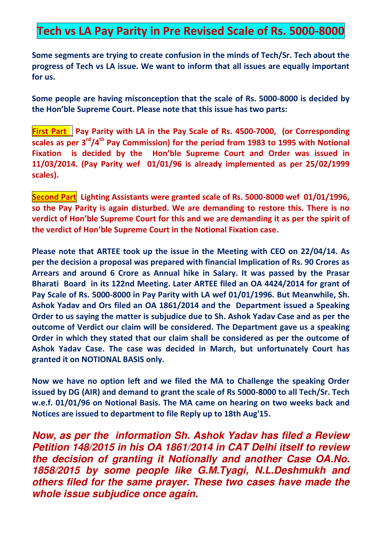## **Tech vs LA Pay Parity in Pre Revised Scale of Rs. 5000-8000**

**Some segments are trying to create confusion in the minds of Tech/Sr. Tech about the progress of Tech vs LA issue. We want to inform that all issues are equally important for us.** 

**Some people are having misconception that the scale of Rs. 5000-8000 is decided by the Hon'ble Supreme Court. Please note that this issue has two parts:** 

**First Part** Pay Parity with LA in the Pay Scale of Rs. 4500-7000, (or Corresponding **scales as per 3rd/4th Pay Commission) for the period from 1983 to 1995 with Notional**  Fixation is decided by the Hon'ble Supreme Court and Order was issued in **11/03/2014. (Pay Parity wef 01/01/96 is already implemented as per 25/02/1999 scales).** 

**Second Part** Lighting Assistants were granted scale of Rs. 5000-8000 wef 01/01/1996, **so the Pay Parity is again disturbed. We are demanding to restore this. There is no**  verdict of Hon'ble Supreme Court for this and we are demanding it as per the spirit of **the verdict of Hon'ble Supreme Court in the Notional Fixation case.** 

**Please note that ARTEE took up the issue in the Meeting with CEO on 22/04/14. As per the decision a proposal was prepared with financial Implication of Rs. 90 Crores as Arrears and around 6 Crore as Annual hike in Salary. It was passed by the Prasar Bharati Board in its 122nd Meeting. Later ARTEE filed an OA 4424/2014 for grant of Pay Scale of Rs. 5000-8000 in Pay Parity with LA wef 01/01/1996. But Meanwhile, Sh. Ashok Yadav and Ors filed an OA 1861/2014 and the Department issued a Speaking Order to us saying the matter is subjudice due to Sh. Ashok Yadav Case and as per the outcome of Verdict our claim will be considered. The Department gave us a speaking Order in which they stated that our claim shall be considered as per the outcome of Ashok Yadav Case. The case was decided in March, but unfortunately Court has granted it on NOTIONAL BASIS only.** 

**Now we have no option left and we filed the MA to Challenge the speaking Order issued by DG (AIR) and demand to grant the scale of Rs 5000-8000 to all Tech/Sr. Tech w.e.f. 01/01/96 on Notional Basis. The MA came on hearing on two weeks back and Notices are issued to department to file Reply up to 18th Aug'15.** 

*Now, as per the information Sh. Ashok Yadav has filed a Review Petition 148/2015 in his OA 1861/2014 in CAT Delhi itself to review the decision of granting it Notionally and another Case OA.No. 1858/2015 by some people like G.M.Tyagi, N.L.Deshmukh and others filed for the same prayer. These two cases have made the whole issue subjudice once again.*